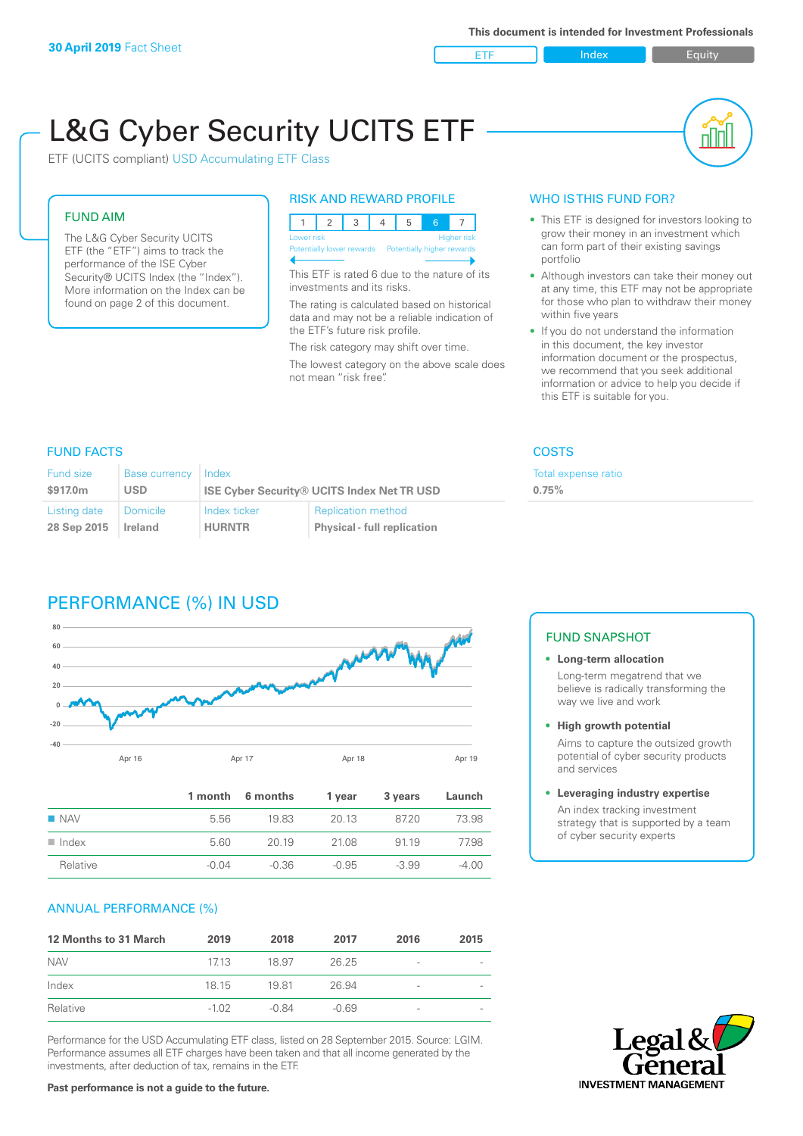ETF Index Buity

nl M

# L&G Cyber Security UCITS ETF

ETF (UCITS compliant) USD Accumulating ETF Class

#### FUND AIM

The L&G Cyber Security UCITS ETF (the "ETF") aims to track the performance of the ISE Cyber Security® UCITS Index (the "Index"). More information on the Index can be found on page 2 of this document.

#### RISK AND REWARD PROFILE

| Lower risk<br><b>Higher risk</b> |  |  |  |                                                      |  |  |  |  |
|----------------------------------|--|--|--|------------------------------------------------------|--|--|--|--|
|                                  |  |  |  | Potentially lower rewards Potentially higher rewards |  |  |  |  |
|                                  |  |  |  |                                                      |  |  |  |  |

This ETF is rated 6 due to the nature of its investments and its risks.

The rating is calculated based on historical data and may not be a reliable indication of the ETF's future risk profile.

The risk category may shift over time. The lowest category on the above scale does not mean "risk free".

#### WHO IS THIS FUND FOR?

- This ETF is designed for investors looking to grow their money in an investment which can form part of their existing savings portfolio
- Although investors can take their money out at any time, this ETF may not be appropriate for those who plan to withdraw their money within five years
- If you do not understand the information in this document, the key investor information document or the prospectus, we recommend that you seek additional information or advice to help you decide if this ETF is suitable for you.

**0.75%**

Total expense ratio

#### FUND FACTS COSTS

| Fund size<br>\$917.0m | Base currency<br><b>USD</b> | Index         | <b>ISE Cyber Security® UCITS Index Net TR USD</b> |
|-----------------------|-----------------------------|---------------|---------------------------------------------------|
| Listing date          | <b>Domicile</b>             | Index ticker  | <b>Replication method</b>                         |
| 28 Sep 2015           | Ireland                     | <b>HURNTR</b> | <b>Physical - full replication</b>                |

# PERFORMANCE (%) IN USD



|                      |       | 1 month 6 months | 1 year  | 3 years | Launch  |
|----------------------|-------|------------------|---------|---------|---------|
| $\blacksquare$ NAV   | 5.56  | 1983             | 20.13   | 8720    | 73.98   |
| $\blacksquare$ Index | 5.60  | 20 19            | 21.08   | 91 19   | 77.98   |
| Relative             | -0.04 | -0.36            | $-0.95$ | $-3.99$ | $-4.00$ |

#### ANNUAL PERFORMANCE (%)

| <b>12 Months to 31 March</b> | 2019    | 2018    | 2017    | 2016            | 2015 |
|------------------------------|---------|---------|---------|-----------------|------|
| <b>NAV</b>                   | 1713    | 18.97   | 26.25   | -               |      |
| Index                        | 18 15   | 1981    | 26.94   | $\qquad \qquad$ |      |
| Relative                     | $-1.02$ | $-0.84$ | $-0.69$ | -               |      |

Performance for the USD Accumulating ETF class, listed on 28 September 2015. Source: LGIM. Performance assumes all ETF charges have been taken and that all income generated by the investments, after deduction of tax, remains in the ETF.

## FUND SNAPSHOT

**• Long-term allocation** Long-term megatrend that we believe is radically transforming the way we live and work

**• High growth potential**

Aims to capture the outsized growth potential of cyber security products and services

#### **• Leveraging industry expertise**

An index tracking investment strategy that is supported by a team of cyber security experts



**Past performance is not a guide to the future.**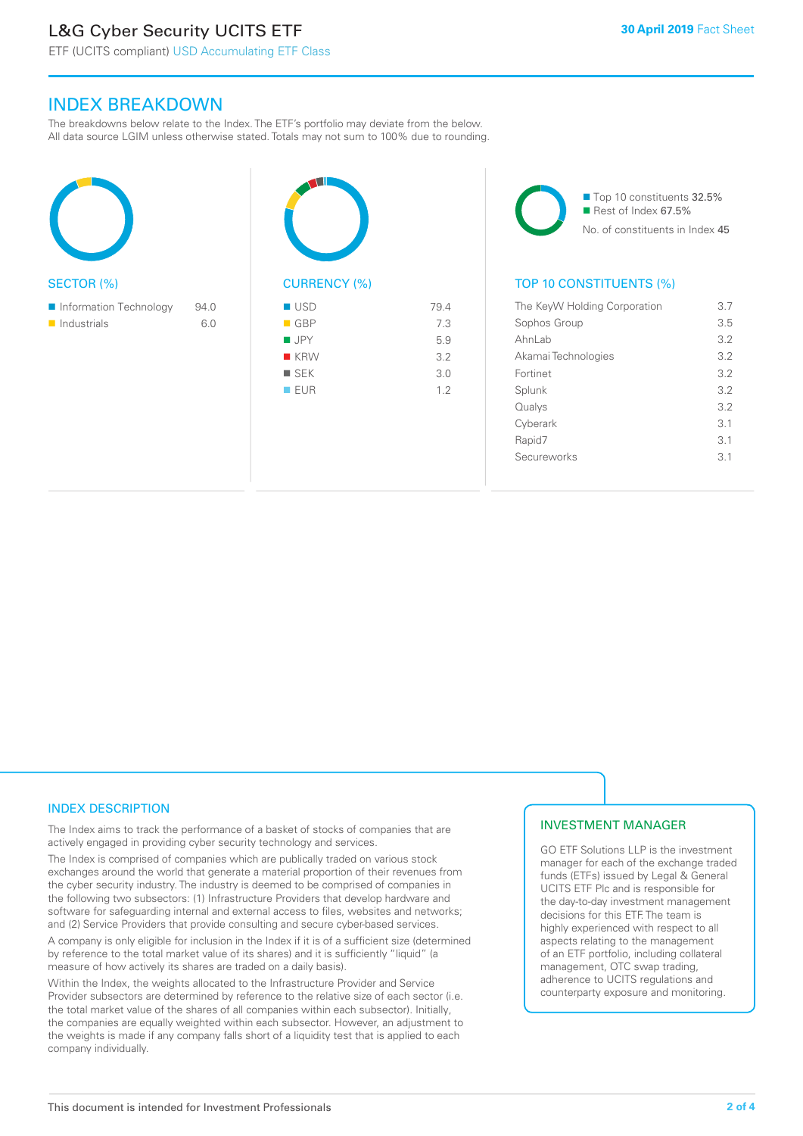# L&G Cyber Security UCITS ETF

# INDEX BREAKDOWN

The breakdowns below relate to the Index. The ETF's portfolio may deviate from the below. All data source LGIM unless otherwise stated. Totals may not sum to 100% due to rounding.

| <b>SECTOR (%)</b>          |      | <b>CURRENCY (%)</b> |      |
|----------------------------|------|---------------------|------|
| Information Technology     | 94.0 | <b>USD</b>          | 79.4 |
| $\blacksquare$ Industrials | 6.0  | ■ GBP               | 7.3  |
|                            |      | <b>JPY</b>          | 5.9  |
|                            |      | <b>KRW</b>          | 3.2  |
|                            |      | $\blacksquare$ SEK  | 3.0  |
|                            |      | <b>EUR</b>          | 1.2  |
|                            |      |                     |      |





#### TOP 10 CONSTITUENTS (%)

| The KeyW Holding Corporation | 37  |
|------------------------------|-----|
| Sophos Group                 | 3.5 |
| Ahnl ah                      | 3.2 |
| Akamai Technologies          | 32  |
| Fortinet                     | 3.2 |
| Splunk                       | 3.2 |
| Qualys                       | 32  |
| Cyberark                     | 3.1 |
| Rapid7                       | 3.1 |
| Secureworks                  | 31  |
|                              |     |

#### INDEX DESCRIPTION

The Index aims to track the performance of a basket of stocks of companies that are actively engaged in providing cyber security technology and services.

The Index is comprised of companies which are publically traded on various stock exchanges around the world that generate a material proportion of their revenues from the cyber security industry. The industry is deemed to be comprised of companies in the following two subsectors: (1) Infrastructure Providers that develop hardware and software for safeguarding internal and external access to files, websites and networks; and (2) Service Providers that provide consulting and secure cyber-based services.

A company is only eligible for inclusion in the Index if it is of a sufficient size (determined by reference to the total market value of its shares) and it is sufficiently "liquid" (a measure of how actively its shares are traded on a daily basis).

Within the Index, the weights allocated to the Infrastructure Provider and Service Provider subsectors are determined by reference to the relative size of each sector (i.e. the total market value of the shares of all companies within each subsector). Initially, the companies are equally weighted within each subsector. However, an adjustment to the weights is made if any company falls short of a liquidity test that is applied to each company individually.

### INVESTMENT MANAGER

GO ETF Solutions LLP is the investment manager for each of the exchange traded funds (ETFs) issued by Legal & General UCITS ETF Plc and is responsible for the day-to-day investment management decisions for this ETF. The team is highly experienced with respect to all aspects relating to the management of an ETF portfolio, including collateral management, OTC swap trading, adherence to UCITS regulations and counterparty exposure and monitoring.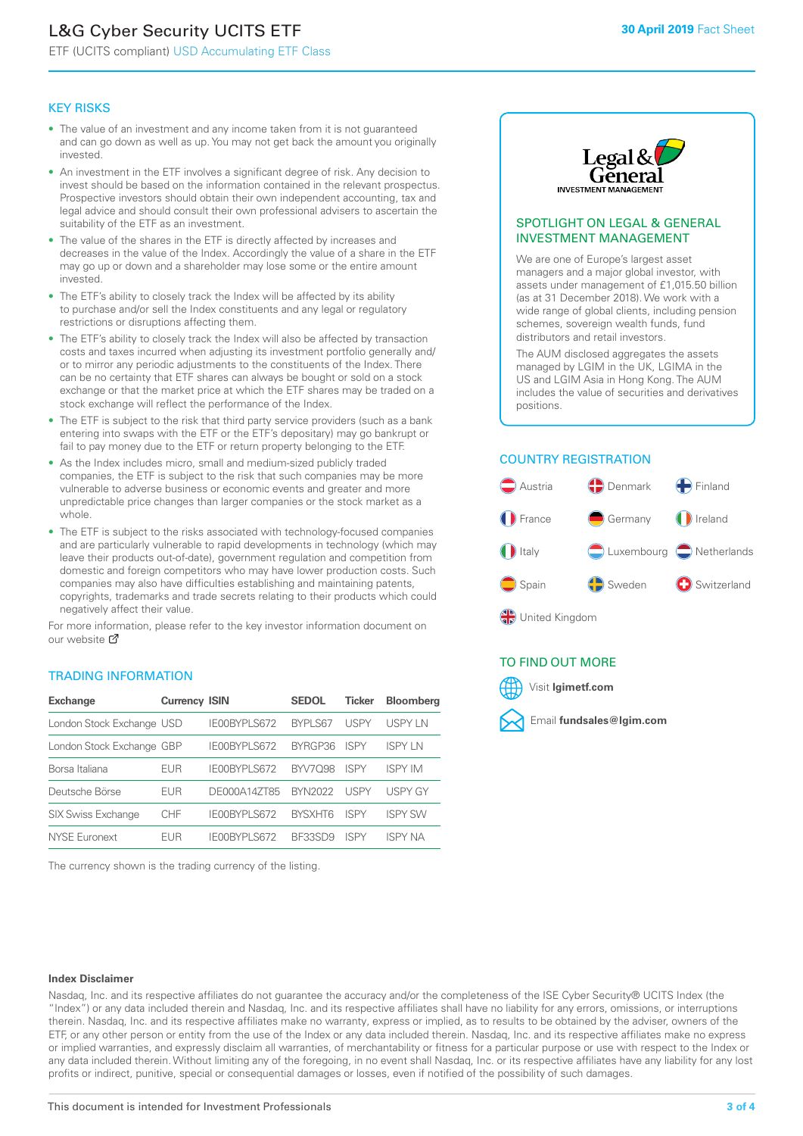# L&G Cyber Security UCITS ETF

ETF (UCITS compliant) USD Accumulating ETF Class

#### KEY RISKS

- The value of an investment and any income taken from it is not guaranteed and can go down as well as up. You may not get back the amount you originally invested.
- An investment in the ETF involves a significant degree of risk. Any decision to invest should be based on the information contained in the relevant prospectus. Prospective investors should obtain their own independent accounting, tax and legal advice and should consult their own professional advisers to ascertain the suitability of the ETF as an investment.
- The value of the shares in the ETF is directly affected by increases and decreases in the value of the Index. Accordingly the value of a share in the ETF may go up or down and a shareholder may lose some or the entire amount invested.
- The ETF's ability to closely track the Index will be affected by its ability to purchase and/or sell the Index constituents and any legal or regulatory restrictions or disruptions affecting them.
- The ETF's ability to closely track the Index will also be affected by transaction costs and taxes incurred when adjusting its investment portfolio generally and/ or to mirror any periodic adjustments to the constituents of the Index. There can be no certainty that ETF shares can always be bought or sold on a stock exchange or that the market price at which the ETF shares may be traded on a stock exchange will reflect the performance of the Index.
- The ETF is subject to the risk that third party service providers (such as a bank entering into swaps with the ETF or the ETF's depositary) may go bankrupt or fail to pay money due to the ETF or return property belonging to the ETF.
- As the Index includes micro, small and medium-sized publicly traded companies, the ETF is subject to the risk that such companies may be more vulnerable to adverse business or economic events and greater and more unpredictable price changes than larger companies or the stock market as a whole.
- The ETF is subject to the risks associated with technology-focused companies and are particularly vulnerable to rapid developments in technology (which may leave their products out-of-date), government regulation and competition from domestic and foreign competitors who may have lower production costs. Such companies may also have difficulties establishing and maintaining patents, copyrights, trademarks and trade secrets relating to their products which could negatively affect their value.

For more in[form](https://www.lgimetf.com/)ation, please refer to the key investor information document on our website Ø

#### TRADING INFORMATION

| <b>Exchange</b>           | <b>Currency ISIN</b> |              | <b>SEDOL</b>   | <b>Ticker</b> | <b>Bloomberg</b> |
|---------------------------|----------------------|--------------|----------------|---------------|------------------|
| London Stock Exchange USD |                      | IE00BYPLS672 | <b>BYPLS67</b> | USPY          | USPY IN          |
| London Stock Exchange GBP |                      | IE00BYPLS672 | BYRGP36        | <b>ISPY</b>   | <b>ISPY IN</b>   |
| Borsa Italiana            | EUR                  | IE00BYPLS672 | <b>BYV7098</b> | <b>ISPY</b>   | <b>ISPY IM</b>   |
| Deutsche Börse            | EUR                  | DE000A14ZT85 | <b>BYN2022</b> | USPY          | <b>USPY GY</b>   |
| <b>SIX Swiss Exchange</b> | CHF                  | IE00BYPLS672 | <b>RYSXHT6</b> | <b>ISPY</b>   | <b>ISPY SW</b>   |
| <b>NYSE Euronext</b>      | <b>FUR</b>           | IE00BYPLS672 | BF33SD9        | <b>ISPY</b>   | <b>ISPY NA</b>   |

The currency shown is the trading currency of the listing.



#### SPOTLIGHT ON LEGAL & GENERAL INVESTMENT MANAGEMENT

We are one of Europe's largest asset managers and a major global investor, with assets under management of £1,015.50 billion (as at 31 December 2018). We work with a wide range of global clients, including pension schemes, sovereign wealth funds, fund distributors and retail investors.

The AUM disclosed aggregates the assets managed by LGIM in the UK, LGIMA in the US and LGIM Asia in Hong Kong. The AUM includes the value of securities and derivatives positions.

#### COUNTRY REGISTRATION



#### TO FIND OUT MORE



#### **Index Disclaimer**

Nasdaq, Inc. and its respective affiliates do not guarantee the accuracy and/or the completeness of the ISE Cyber Security® UCITS Index (the "Index") or any data included therein and Nasdaq, Inc. and its respective affiliates shall have no liability for any errors, omissions, or interruptions therein. Nasdaq, Inc. and its respective affiliates make no warranty, express or implied, as to results to be obtained by the adviser, owners of the ETF, or any other person or entity from the use of the Index or any data included therein. Nasdaq, Inc. and its respective affiliates make no express or implied warranties, and expressly disclaim all warranties, of merchantability or fitness for a particular purpose or use with respect to the Index or any data included therein. Without limiting any of the foregoing, in no event shall Nasdaq, Inc. or its respective affiliates have any liability for any lost profits or indirect, punitive, special or consequential damages or losses, even if notified of the possibility of such damages.